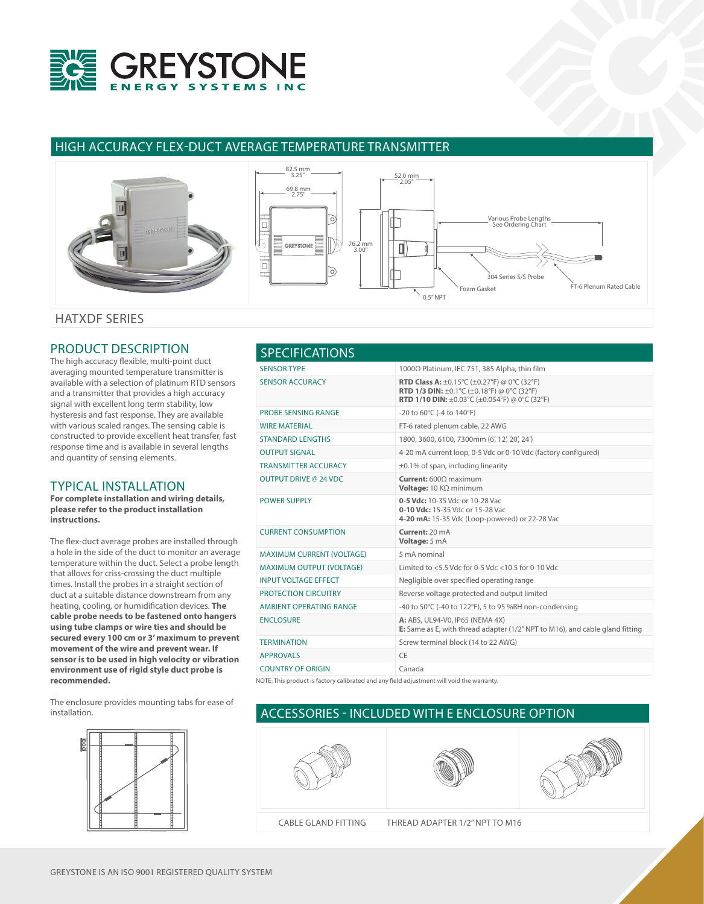

# HIGH ACCURACY FLEX-DUCT AVERAGE TEMPERATURE TRANSMITTER



# PRODUCT DESCRIPTION

The high accuracy flexible, multi-point duct averaging mounted temperature transmitter is available with a selection of platinum RTD sensors and a transmitter that provides a high accuracy signal with excellent long term stability, low hysteresis and fast response. They are available with various scaled ranges. The sensing cable is constructed to provide excellent heat transfer, fast response time and is available in several lengths and quantity of sensing elements.

### TYPICAL INSTALLATION

**For complete installation and wiring details, please refer to the product installation instructions.**

The flex-duct average probes are installed through a hole in the side of the duct to monitor an average temperature within the duct. Select a probe length that allows for criss-crossing the duct multiple times. Install the probes in a straight section of duct at a suitable distance downstream from any heating, cooling, or humidification devices. **The cable probe needs to be fastened onto hangers using tube clamps or wire ties and should be secured every 100 cm or 3' maximum to prevent movement of the wire and prevent wear. If sensor is to be used in high velocity or vibration environment use of rigid style duct probe is recommended.**

The enclosure provides mounting tabs for ease of installation.



| <b>SPECIFICATIONS</b>            |                                                                                                                                                                                                                                  |
|----------------------------------|----------------------------------------------------------------------------------------------------------------------------------------------------------------------------------------------------------------------------------|
| <b>SENSOR TYPE</b>               | 1000Ω Platinum, IEC 751, 385 Alpha, thin film                                                                                                                                                                                    |
| <b>SENSOR ACCURACY</b>           | <b>RTD Class A:</b> $\pm$ 0.15°C ( $\pm$ 0.27°F) @ 0°C (32°F)<br><b>RTD 1/3 DIN:</b> $\pm 0.1^{\circ}$ C ( $\pm 0.18^{\circ}$ F) @ 0°C (32°F)<br><b>RTD 1/10 DIN:</b> $\pm 0.03^{\circ}$ C ( $\pm 0.054^{\circ}$ F) @ 0°C (32°F) |
| <b>PROBE SENSING RANGE</b>       | $-20$ to 60 $\degree$ C ( $-4$ to 140 $\degree$ F)                                                                                                                                                                               |
| <b>WIRE MATERIAL</b>             | FT-6 rated plenum cable, 22 AWG                                                                                                                                                                                                  |
| <b>STANDARD LENGTHS</b>          | 1800, 3600, 6100, 7300mm (6', 12', 20', 24')                                                                                                                                                                                     |
| <b>OUTPUT SIGNAL</b>             | 4-20 mA current loop, 0-5 Vdc or 0-10 Vdc (factory configured)                                                                                                                                                                   |
| <b>TRANSMITTER ACCURACY</b>      | $\pm$ 0.1% of span, including linearity                                                                                                                                                                                          |
| <b>OUTPUT DRIVE @ 24 VDC</b>     | Current: 6000 maximum<br>Voltage: $10 K\Omega$ minimum                                                                                                                                                                           |
| <b>POWER SUPPLY</b>              | 0-5 Vdc: 10-35 Vdc or 10-28 Vac<br>0-10 Vdc: 15-35 Vdc or 15-28 Vac<br>4-20 mA: 15-35 Vdc (Loop-powered) or 22-28 Vac                                                                                                            |
| <b>CURRENT CONSUMPTION</b>       | Current: 20 mA<br>Voltage: 5 mA                                                                                                                                                                                                  |
| <b>MAXIMUM CURRENT (VOLTAGE)</b> | 5 mA nominal                                                                                                                                                                                                                     |
| <b>MAXIMUM OUTPUT (VOLTAGE)</b>  | Limited to $<$ 5.5 Vdc for 0-5 Vdc $<$ 10.5 for 0-10 Vdc                                                                                                                                                                         |
| <b>INPUT VOLTAGE EFFECT</b>      | Negligible over specified operating range                                                                                                                                                                                        |
| <b>PROTECTION CIRCUITRY</b>      | Reverse voltage protected and output limited                                                                                                                                                                                     |
| <b>AMBIENT OPERATING RANGE</b>   | -40 to 50°C (-40 to 122°F), 5 to 95 %RH non-condensing                                                                                                                                                                           |
| <b>ENCLOSURE</b>                 | A: ABS, UL94-V0, IP65 (NEMA 4X)<br>E: Same as E, with thread adapter (1/2" NPT to M16), and cable gland fitting                                                                                                                  |
| <b>TERMINATION</b>               | Screw terminal block (14 to 22 AWG)                                                                                                                                                                                              |
| <b>APPROVALS</b>                 | CE                                                                                                                                                                                                                               |
| <b>COUNTRY OF ORIGIN</b>         | Canada                                                                                                                                                                                                                           |

NOTE: This product is factory calibrated and any field adjustment will void the warranty.

# ACCESSORIES - INCLUDED WITH E ENCLOSURE OPTION